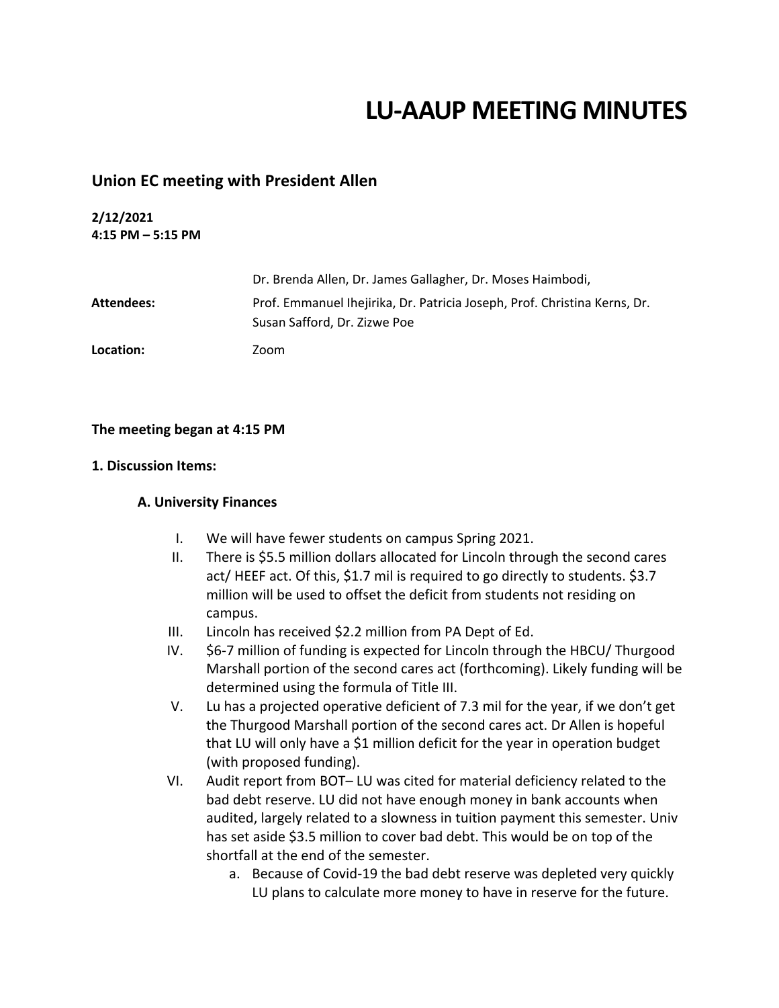# **LU-AAUP MEETING MINUTES**

## **Union EC meeting with President Allen**

## **2/12/2021 4:15 PM – 5:15 PM**

|            | Dr. Brenda Allen, Dr. James Gallagher, Dr. Moses Haimbodi,                                                |
|------------|-----------------------------------------------------------------------------------------------------------|
| Attendees: | Prof. Emmanuel Ihejirika, Dr. Patricia Joseph, Prof. Christina Kerns, Dr.<br>Susan Safford, Dr. Zizwe Poe |
| Location:  | Zoom                                                                                                      |

## **The meeting began at 4:15 PM**

#### **1. Discussion Items:**

### **A. University Finances**

- I. We will have fewer students on campus Spring 2021.
- II. There is \$5.5 million dollars allocated for Lincoln through the second cares act/ HEEF act. Of this, \$1.7 mil is required to go directly to students. \$3.7 million will be used to offset the deficit from students not residing on campus.
- III. Lincoln has received \$2.2 million from PA Dept of Ed.
- IV. \$6-7 million of funding is expected for Lincoln through the HBCU/ Thurgood Marshall portion of the second cares act (forthcoming). Likely funding will be determined using the formula of Title III.
- V. Lu has a projected operative deficient of 7.3 mil for the year, if we don't get the Thurgood Marshall portion of the second cares act. Dr Allen is hopeful that LU will only have a \$1 million deficit for the year in operation budget (with proposed funding).
- VI. Audit report from BOT– LU was cited for material deficiency related to the bad debt reserve. LU did not have enough money in bank accounts when audited, largely related to a slowness in tuition payment this semester. Univ has set aside \$3.5 million to cover bad debt. This would be on top of the shortfall at the end of the semester.
	- a. Because of Covid-19 the bad debt reserve was depleted very quickly LU plans to calculate more money to have in reserve for the future.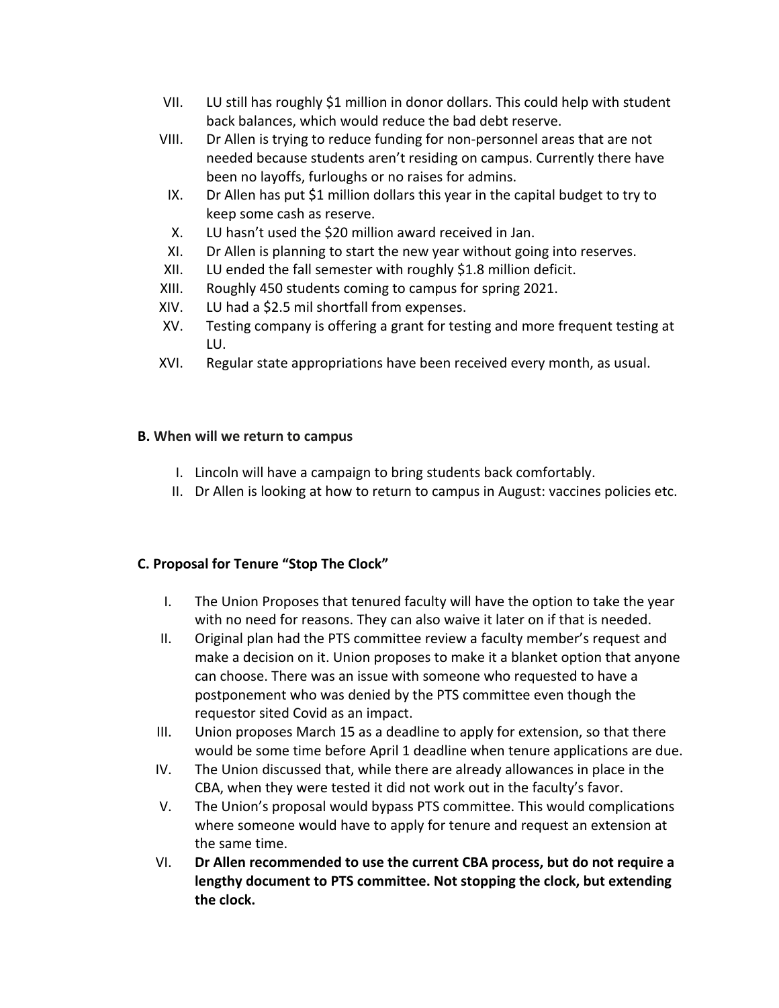- VII. LU still has roughly \$1 million in donor dollars. This could help with student back balances, which would reduce the bad debt reserve.
- VIII. Dr Allen is trying to reduce funding for non-personnel areas that are not needed because students aren't residing on campus. Currently there have been no layoffs, furloughs or no raises for admins.
	- IX. Dr Allen has put \$1 million dollars this year in the capital budget to try to keep some cash as reserve.
	- X. LU hasn't used the \$20 million award received in Jan.
- XI. Dr Allen is planning to start the new year without going into reserves.
- XII. LU ended the fall semester with roughly \$1.8 million deficit.
- XIII. Roughly 450 students coming to campus for spring 2021.
- XIV. LU had a \$2.5 mil shortfall from expenses.
- XV. Testing company is offering a grant for testing and more frequent testing at LU.
- XVI. Regular state appropriations have been received every month, as usual.

## **B. When will we return to campus**

- I. Lincoln will have a campaign to bring students back comfortably.
- II. Dr Allen is looking at how to return to campus in August: vaccines policies etc.

## **C. Proposal for Tenure "Stop The Clock"**

- I. The Union Proposes that tenured faculty will have the option to take the year with no need for reasons. They can also waive it later on if that is needed.
- II. Original plan had the PTS committee review a faculty member's request and make a decision on it. Union proposes to make it a blanket option that anyone can choose. There was an issue with someone who requested to have a postponement who was denied by the PTS committee even though the requestor sited Covid as an impact.
- III. Union proposes March 15 as a deadline to apply for extension, so that there would be some time before April 1 deadline when tenure applications are due.
- IV. The Union discussed that, while there are already allowances in place in the CBA, when they were tested it did not work out in the faculty's favor.
- V. The Union's proposal would bypass PTS committee. This would complications where someone would have to apply for tenure and request an extension at the same time.
- VI. **Dr Allen recommended to use the current CBA process, but do not require a lengthy document to PTS committee. Not stopping the clock, but extending the clock.**